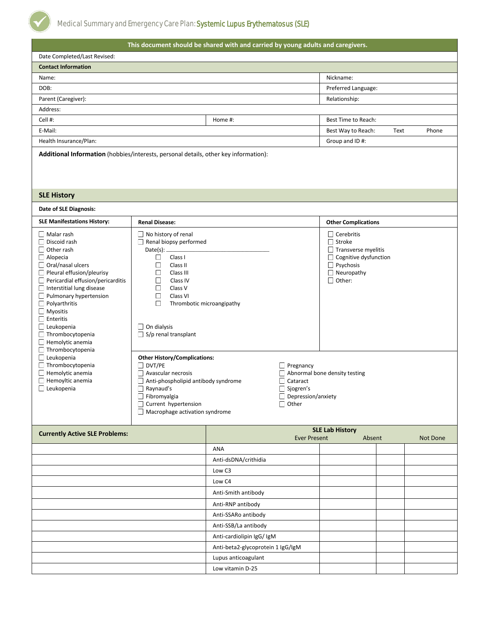| This document should be shared with and carried by young adults and caregivers.                                                                                                                                                                                                                                                                                                                                                                                 |                                                                                                                                                                                                                                                                                                                                                                                                                                                                                                                                                                                                                                                                                            |                                   |                     |                                                                                                                                                                          |      |          |  |  |
|-----------------------------------------------------------------------------------------------------------------------------------------------------------------------------------------------------------------------------------------------------------------------------------------------------------------------------------------------------------------------------------------------------------------------------------------------------------------|--------------------------------------------------------------------------------------------------------------------------------------------------------------------------------------------------------------------------------------------------------------------------------------------------------------------------------------------------------------------------------------------------------------------------------------------------------------------------------------------------------------------------------------------------------------------------------------------------------------------------------------------------------------------------------------------|-----------------------------------|---------------------|--------------------------------------------------------------------------------------------------------------------------------------------------------------------------|------|----------|--|--|
| Date Completed/Last Revised:                                                                                                                                                                                                                                                                                                                                                                                                                                    |                                                                                                                                                                                                                                                                                                                                                                                                                                                                                                                                                                                                                                                                                            |                                   |                     |                                                                                                                                                                          |      |          |  |  |
| <b>Contact Information</b>                                                                                                                                                                                                                                                                                                                                                                                                                                      |                                                                                                                                                                                                                                                                                                                                                                                                                                                                                                                                                                                                                                                                                            |                                   |                     |                                                                                                                                                                          |      |          |  |  |
| Name:                                                                                                                                                                                                                                                                                                                                                                                                                                                           |                                                                                                                                                                                                                                                                                                                                                                                                                                                                                                                                                                                                                                                                                            |                                   |                     | Nickname:                                                                                                                                                                |      |          |  |  |
| DOB:                                                                                                                                                                                                                                                                                                                                                                                                                                                            |                                                                                                                                                                                                                                                                                                                                                                                                                                                                                                                                                                                                                                                                                            |                                   |                     | Preferred Language:                                                                                                                                                      |      |          |  |  |
| Parent (Caregiver):                                                                                                                                                                                                                                                                                                                                                                                                                                             |                                                                                                                                                                                                                                                                                                                                                                                                                                                                                                                                                                                                                                                                                            |                                   |                     | Relationship:                                                                                                                                                            |      |          |  |  |
| Address:                                                                                                                                                                                                                                                                                                                                                                                                                                                        |                                                                                                                                                                                                                                                                                                                                                                                                                                                                                                                                                                                                                                                                                            |                                   |                     |                                                                                                                                                                          |      |          |  |  |
| Cell #:                                                                                                                                                                                                                                                                                                                                                                                                                                                         |                                                                                                                                                                                                                                                                                                                                                                                                                                                                                                                                                                                                                                                                                            | Home #:                           |                     | Best Time to Reach:                                                                                                                                                      |      |          |  |  |
| E-Mail:                                                                                                                                                                                                                                                                                                                                                                                                                                                         |                                                                                                                                                                                                                                                                                                                                                                                                                                                                                                                                                                                                                                                                                            |                                   |                     | Best Way to Reach:                                                                                                                                                       | Text | Phone    |  |  |
| Health Insurance/Plan:                                                                                                                                                                                                                                                                                                                                                                                                                                          |                                                                                                                                                                                                                                                                                                                                                                                                                                                                                                                                                                                                                                                                                            |                                   |                     | Group and ID#:                                                                                                                                                           |      |          |  |  |
| Additional Information (hobbies/interests, personal details, other key information):                                                                                                                                                                                                                                                                                                                                                                            |                                                                                                                                                                                                                                                                                                                                                                                                                                                                                                                                                                                                                                                                                            |                                   |                     |                                                                                                                                                                          |      |          |  |  |
| <b>SLE History</b>                                                                                                                                                                                                                                                                                                                                                                                                                                              |                                                                                                                                                                                                                                                                                                                                                                                                                                                                                                                                                                                                                                                                                            |                                   |                     |                                                                                                                                                                          |      |          |  |  |
| Date of SLE Diagnosis:                                                                                                                                                                                                                                                                                                                                                                                                                                          |                                                                                                                                                                                                                                                                                                                                                                                                                                                                                                                                                                                                                                                                                            |                                   |                     |                                                                                                                                                                          |      |          |  |  |
| <b>SLE Manifestations History:</b>                                                                                                                                                                                                                                                                                                                                                                                                                              | <b>Renal Disease:</b>                                                                                                                                                                                                                                                                                                                                                                                                                                                                                                                                                                                                                                                                      |                                   |                     | <b>Other Complications</b>                                                                                                                                               |      |          |  |  |
| $\Box$ Malar rash<br>Discoid rash<br>Other rash<br>$\Box$ Alopecia<br>Oral/nasal ulcers<br>Pleural effusion/pleurisy<br>Pericardial effusion/pericarditis<br>Interstitial lung disease<br>Pulmonary hypertension<br>$\Box$ Polyarthritis<br>Myositis<br>$\Box$ Enteritis<br>$\Box$ Leukopenia<br>Thrombocytopenia<br>$\Box$ Hemolytic anemia<br>Thrombocytopenia<br>Leukopenia<br>Thrombocytopenia<br>Hemolytic anemia<br>Hemoyltic anemia<br>$\Box$ Leukopenia | No history of renal<br>Renal biopsy performed<br>Date(s): $\_\_$<br>$\mathbb{R}^n$<br>Class I<br>$\mathcal{L}_{\mathcal{A}}$<br>Class II<br>$\mathcal{L}_{\mathcal{A}}$<br>Class III<br>a a<br>Class IV<br>$\mathcal{L}_{\mathcal{A}}$<br>Class V<br>$\Box$<br>Class VI<br>$\langle \cdot \rangle$<br>Thrombotic microangipathy<br>On dialysis<br>$\Box$ S/p renal transplant<br><b>Other History/Complications:</b><br>$\Box$ DVT/PE<br>$\Box$ Pregnancy<br>Avascular necrosis<br>Anti-phospholipid antibody syndrome<br>$\Box$ Cataract<br>Raynaud's<br>$\Box$ Sjogren's<br>Fibromyalgia<br>Depression/anxiety<br>Current hypertension<br>$\Box$ Other<br>Macrophage activation syndrome |                                   |                     | $\Box$ Cerebritis<br>□ Stroke<br>$\Box$ Transverse myelitis<br>Cognitive dysfunction<br>Psychosis<br>$\Box$ Neuropathy<br>$\Box$ Other:<br>Abnormal bone density testing |      |          |  |  |
|                                                                                                                                                                                                                                                                                                                                                                                                                                                                 |                                                                                                                                                                                                                                                                                                                                                                                                                                                                                                                                                                                                                                                                                            |                                   |                     | <b>SLE Lab History</b>                                                                                                                                                   |      |          |  |  |
| <b>Currently Active SLE Problems:</b>                                                                                                                                                                                                                                                                                                                                                                                                                           |                                                                                                                                                                                                                                                                                                                                                                                                                                                                                                                                                                                                                                                                                            |                                   | <b>Ever Present</b> | Absent                                                                                                                                                                   |      | Not Done |  |  |
|                                                                                                                                                                                                                                                                                                                                                                                                                                                                 |                                                                                                                                                                                                                                                                                                                                                                                                                                                                                                                                                                                                                                                                                            | ANA                               |                     |                                                                                                                                                                          |      |          |  |  |
|                                                                                                                                                                                                                                                                                                                                                                                                                                                                 |                                                                                                                                                                                                                                                                                                                                                                                                                                                                                                                                                                                                                                                                                            | Anti-dsDNA/crithidia              |                     |                                                                                                                                                                          |      |          |  |  |
|                                                                                                                                                                                                                                                                                                                                                                                                                                                                 |                                                                                                                                                                                                                                                                                                                                                                                                                                                                                                                                                                                                                                                                                            | Low C3                            |                     |                                                                                                                                                                          |      |          |  |  |
|                                                                                                                                                                                                                                                                                                                                                                                                                                                                 |                                                                                                                                                                                                                                                                                                                                                                                                                                                                                                                                                                                                                                                                                            | Low C4                            |                     |                                                                                                                                                                          |      |          |  |  |
|                                                                                                                                                                                                                                                                                                                                                                                                                                                                 |                                                                                                                                                                                                                                                                                                                                                                                                                                                                                                                                                                                                                                                                                            | Anti-Smith antibody               |                     |                                                                                                                                                                          |      |          |  |  |
|                                                                                                                                                                                                                                                                                                                                                                                                                                                                 |                                                                                                                                                                                                                                                                                                                                                                                                                                                                                                                                                                                                                                                                                            | Anti-RNP antibody                 |                     |                                                                                                                                                                          |      |          |  |  |
|                                                                                                                                                                                                                                                                                                                                                                                                                                                                 |                                                                                                                                                                                                                                                                                                                                                                                                                                                                                                                                                                                                                                                                                            | Anti-SSARo antibody               |                     |                                                                                                                                                                          |      |          |  |  |
|                                                                                                                                                                                                                                                                                                                                                                                                                                                                 |                                                                                                                                                                                                                                                                                                                                                                                                                                                                                                                                                                                                                                                                                            | Anti-SSB/La antibody              |                     |                                                                                                                                                                          |      |          |  |  |
|                                                                                                                                                                                                                                                                                                                                                                                                                                                                 |                                                                                                                                                                                                                                                                                                                                                                                                                                                                                                                                                                                                                                                                                            | Anti-cardiolipin IgG/ IgM         |                     |                                                                                                                                                                          |      |          |  |  |
|                                                                                                                                                                                                                                                                                                                                                                                                                                                                 |                                                                                                                                                                                                                                                                                                                                                                                                                                                                                                                                                                                                                                                                                            | Anti-beta2-glycoprotein 1 IgG/IgM |                     |                                                                                                                                                                          |      |          |  |  |
|                                                                                                                                                                                                                                                                                                                                                                                                                                                                 |                                                                                                                                                                                                                                                                                                                                                                                                                                                                                                                                                                                                                                                                                            | Lupus anticoagulant               |                     |                                                                                                                                                                          |      |          |  |  |
|                                                                                                                                                                                                                                                                                                                                                                                                                                                                 |                                                                                                                                                                                                                                                                                                                                                                                                                                                                                                                                                                                                                                                                                            | Low vitamin D-25                  |                     |                                                                                                                                                                          |      |          |  |  |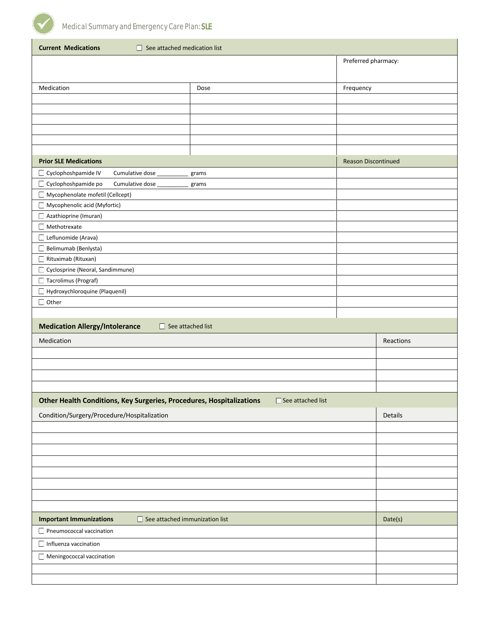

| <b>Current Medications</b><br>$\Box$ See attached medication list       |                            |                     |  |  |  |  |  |
|-------------------------------------------------------------------------|----------------------------|---------------------|--|--|--|--|--|
|                                                                         |                            | Preferred pharmacy: |  |  |  |  |  |
|                                                                         |                            |                     |  |  |  |  |  |
| Medication                                                              | Dose                       | Frequency           |  |  |  |  |  |
|                                                                         |                            |                     |  |  |  |  |  |
|                                                                         |                            |                     |  |  |  |  |  |
|                                                                         |                            |                     |  |  |  |  |  |
|                                                                         |                            |                     |  |  |  |  |  |
|                                                                         |                            |                     |  |  |  |  |  |
|                                                                         |                            |                     |  |  |  |  |  |
| <b>Prior SLE Medications</b>                                            | <b>Reason Discontinued</b> |                     |  |  |  |  |  |
| Cyclophoshpamide IV<br>Cumulative dose_                                 | grams                      |                     |  |  |  |  |  |
| Cyclophoshpamide po<br>Cumulative dose                                  | grams                      |                     |  |  |  |  |  |
| Mycophenolate mofetil (Cellcept)                                        |                            |                     |  |  |  |  |  |
| Mycophenolic acid (Myfortic)                                            |                            |                     |  |  |  |  |  |
| Azathioprine (Imuran)                                                   |                            |                     |  |  |  |  |  |
| Methotrexate                                                            |                            |                     |  |  |  |  |  |
| Leflunomide (Arava)<br>Belimumab (Benlysta)                             |                            |                     |  |  |  |  |  |
| Rituximab (Rituxan)                                                     |                            |                     |  |  |  |  |  |
| Cyclosprine (Neoral, Sandimmune)                                        |                            |                     |  |  |  |  |  |
| Tacrolimus (Prograf)                                                    |                            |                     |  |  |  |  |  |
| Hydroxychloroquine (Plaquenil)                                          |                            |                     |  |  |  |  |  |
| $\Box$ Other                                                            |                            |                     |  |  |  |  |  |
|                                                                         |                            |                     |  |  |  |  |  |
|                                                                         |                            |                     |  |  |  |  |  |
| <b>Medication Allergy/Intolerance</b><br>$\Box$ See attached list       |                            |                     |  |  |  |  |  |
| Medication                                                              |                            | Reactions           |  |  |  |  |  |
|                                                                         |                            |                     |  |  |  |  |  |
|                                                                         |                            |                     |  |  |  |  |  |
|                                                                         |                            |                     |  |  |  |  |  |
|                                                                         |                            |                     |  |  |  |  |  |
| Other Health Conditions, Key Surgeries, Procedures, Hospitalizations    | □ See attached list        |                     |  |  |  |  |  |
|                                                                         |                            |                     |  |  |  |  |  |
| Condition/Surgery/Procedure/Hospitalization                             |                            | Details             |  |  |  |  |  |
|                                                                         |                            |                     |  |  |  |  |  |
|                                                                         |                            |                     |  |  |  |  |  |
|                                                                         |                            |                     |  |  |  |  |  |
|                                                                         |                            |                     |  |  |  |  |  |
|                                                                         |                            |                     |  |  |  |  |  |
|                                                                         |                            |                     |  |  |  |  |  |
|                                                                         |                            |                     |  |  |  |  |  |
| <b>Important Immunizations</b><br>$\Box$ See attached immunization list |                            | Date(s)             |  |  |  |  |  |
| Pneumococcal vaccination                                                |                            |                     |  |  |  |  |  |
| Influenza vaccination                                                   |                            |                     |  |  |  |  |  |
|                                                                         |                            |                     |  |  |  |  |  |
| Meningococcal vaccination                                               |                            |                     |  |  |  |  |  |